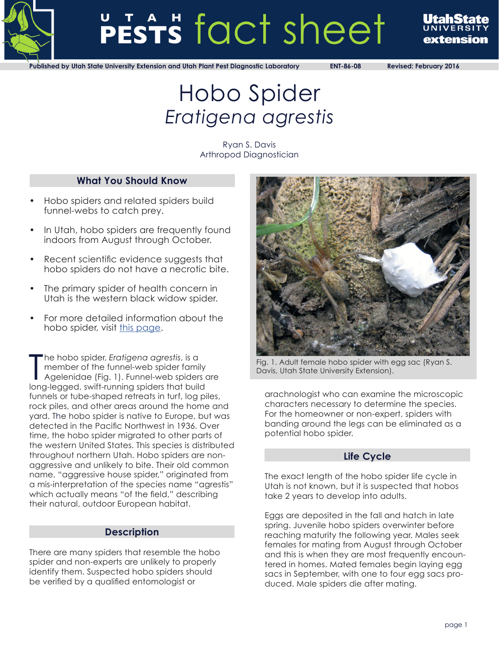

# PESTS fact sheet



**Published by Utah State University Extension and Utah Plant Pest Diagnostic Laboratory ENT-86-08 Revised: February 2016**

# Hobo Spider *Eratigena agrestis*

Ryan S. Davis Arthropod Diagnostician

# **What You Should Know**

- Hobo spiders and related spiders build funnel-webs to catch prey.
- In Utah, hobo spiders are frequently found indoors from August through October.
- Recent scientific evidence suggests that hobo spiders do not have a necrotic bite.
- The primary spider of health concern in Utah is the western black widow spider.
- For more detailed information about the hobo spider, visit this page.

The hobo spider, Eratigena agrestis, is a<br>
member of the funnel-web spider family<br>
Agelenidae (Fig. 1). Funnel-web spiders of<br>
long-legged, swift-running spiders that build he hobo spider, *Eratigena agrestis*, is a member of the funnel-web spider family Agelenidae (Fig. 1). Funnel-web spiders are funnels or tube-shaped retreats in turf, log piles, rock piles, and other areas around the home and yard. The hobo spider is native to Europe, but was detected in the Pacific Northwest in 1936. Over time, the hobo spider migrated to other parts of the western United States. This species is distributed throughout northern Utah. Hobo spiders are nonaggressive and unlikely to bite. Their old common name, "aggressive house spider," originated from a mis-interpretation of the species name "agrestis" which actually means "of the field," describing their natural, outdoor European habitat.

# **Description**

There are many spiders that resemble the hobo spider and non-experts are unlikely to properly identify them. Suspected hobo spiders should be verified by a qualified entomologist or



Fig. 1. Adult female hobo spider with egg sac (Ryan S. Davis, Utah State University Extension).

arachnologist who can examine the microscopic characters necessary to determine the species. For the homeowner or non-expert, spiders with banding around the legs can be eliminated as a potential hobo spider.

# **Life Cycle**

The exact length of the hobo spider life cycle in Utah is not known, but it is suspected that hobos take 2 years to develop into adults.

Eggs are deposited in the fall and hatch in late spring. Juvenile hobo spiders overwinter before reaching maturity the following year. Males seek females for mating from August through October and this is when they are most frequently encountered in homes. Mated females begin laying egg sacs in September, with one to four egg sacs produced. Male spiders die after mating.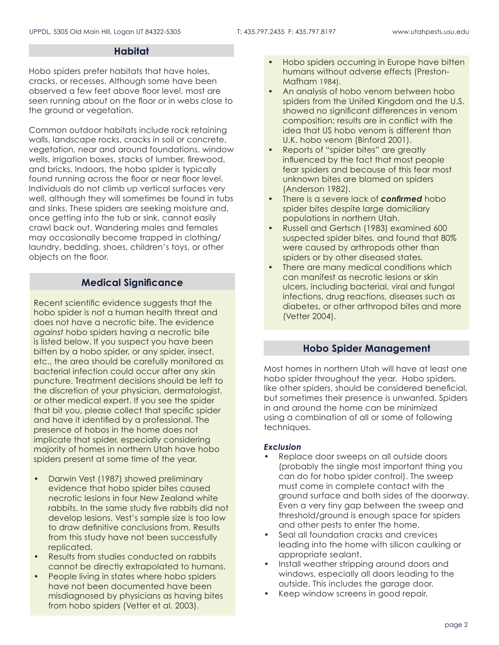## **Habitat**

Hobo spiders prefer habitats that have holes, cracks, or recesses. Although some have been observed a few feet above floor level, most are seen running about on the floor or in webs close to the ground or vegetation.

Common outdoor habitats include rock retaining walls, landscape rocks, cracks in soil or concrete, vegetation, near and around foundations, window wells, irrigation boxes, stacks of lumber, firewood, and bricks. Indoors, the hobo spider is typically found running across the floor or near floor level. Individuals do not climb up vertical surfaces very well, although they will sometimes be found in tubs and sinks. These spiders are seeking moisture and, once getting into the tub or sink, cannot easily crawl back out. Wandering males and females may occasionally become trapped in clothing/ laundry, bedding, shoes, children's toys, or other objects on the floor.

# **Medical Significance**

Recent scientific evidence suggests that the hobo spider is not a human health threat and does not have a necrotic bite. The evidence *against* hobo spiders having a necrotic bite is listed below. If you suspect you have been bitten by a hobo spider, or any spider, insect, etc., the area should be carefully monitored as bacterial infection could occur after any skin puncture. Treatment decisions should be left to the discretion of your physician, dermatologist, or other medical expert. If you see the spider that bit you, please collect that specific spider and have it identified by a professional. The presence of hobos in the home does not implicate that spider, especially considering majority of homes in northern Utah have hobo spiders present at some time of the year.

- Darwin Vest (1987) showed preliminary evidence that hobo spider bites caused necrotic lesions in four New Zealand white rabbits. In the same study five rabbits did not develop lesions. Vest's sample size is too low to draw definitive conclusions from. Results from this study have not been successfully replicated.
- Results from studies conducted on rabbits cannot be directly extrapolated to humans.
- People living in states where hobo spiders have not been documented have been misdiagnosed by physicians as having bites from hobo spiders (Vetter et al. 2003).
- Hobo spiders occurring in Europe have bitten humans without adverse effects (Preston-Mafham 1984).
- An analysis of hobo venom between hobo spiders from the United Kingdom and the U.S. showed no significant differences in venom composition; results are in conflict with the idea that US hobo venom is different than U.K. hobo venom (Binford 2001).
- Reports of "spider bites" are greatly influenced by the fact that most people fear spiders and because of this fear most unknown bites are blamed on spiders (Anderson 1982).
- There is a severe lack of *confirmed* hobo spider bites despite large domiciliary populations in northern Utah.
- Russell and Gertsch (1983) examined 600 suspected spider bites, and found that 80% were caused by arthropods other than spiders or by other diseased states.
- There are many medical conditions which can manifest as necrotic lesions or skin ulcers, including bacterial, viral and fungal infections, drug reactions, diseases such as diabetes, or other arthropod bites and more (Vetter 2004).

# **Hobo Spider Management**

Most homes in northern Utah will have at least one hobo spider throughout the year. Hobo spiders, like other spiders, should be considered beneficial, but sometimes their presence is unwanted. Spiders in and around the home can be minimized using a combination of all or some of following techniques.

#### *Exclusion*

- Replace door sweeps on all outside doors (probably the single most important thing you can do for hobo spider control). The sweep must come in complete contact with the ground surface and both sides of the doorway. Even a very tiny gap between the sweep and threshold/ground is enough space for spiders and other pests to enter the home.
- Seal all foundation cracks and crevices leading into the home with silicon caulking or appropriate sealant.
- Install weather stripping around doors and windows, especially all doors leading to the outside. This includes the garage door.
- Keep window screens in good repair.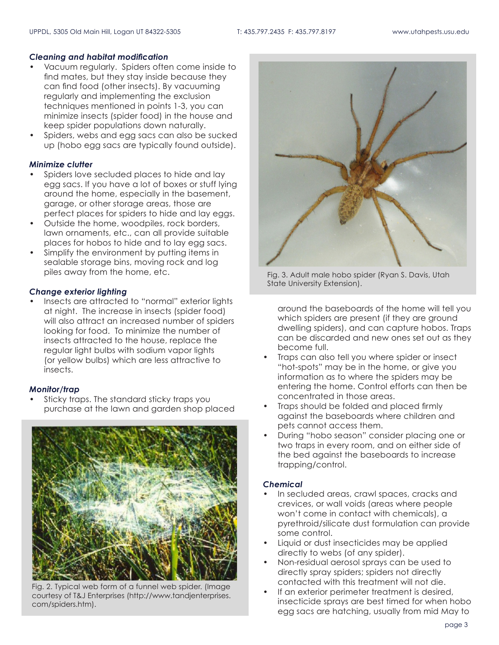#### *Cleaning and habitat modification*

- Vacuum regularly. Spiders often come inside to find mates, but they stay inside because they can find food (other insects). By vacuuming regularly and implementing the exclusion techniques mentioned in points 1-3, you can minimize insects (spider food) in the house and keep spider populations down naturally.
- Spiders, webs and egg sacs can also be sucked up (hobo egg sacs are typically found outside).

#### *Minimize clutter*

- Spiders love secluded places to hide and lay egg sacs. If you have a lot of boxes or stuff lying around the home, especially in the basement, garage, or other storage areas, those are perfect places for spiders to hide and lay eggs.
- Outside the home, woodpiles, rock borders, lawn ornaments, etc., can all provide suitable places for hobos to hide and to lay egg sacs.
- Simplify the environment by putting items in sealable storage bins, moving rock and log piles away from the home, etc.

#### *Change exterior lighting*

Insects are attracted to "normal" exterior lights at night. The increase in insects (spider food) will also attract an increased number of spiders looking for food. To minimize the number of insects attracted to the house, replace the regular light bulbs with sodium vapor lights (or yellow bulbs) which are less attractive to insects.

#### *Monitor/trap*

• Sticky traps. The standard sticky traps you purchase at the lawn and garden shop placed



Fig. 2. Typical web form of a funnel web spider. (Image courtesy of T&J Enterprises (http://www.tandjenterprises. com/spiders.htm).



Fig. 3. Adult male hobo spider (Ryan S. Davis, Utah State University Extension).

around the baseboards of the home will tell you which spiders are present (if they are ground dwelling spiders), and can capture hobos. Traps can be discarded and new ones set out as they become full.

- Traps can also tell you where spider or insect "hot-spots" may be in the home, or give you information as to where the spiders may be entering the home. Control efforts can then be concentrated in those areas.
- Traps should be folded and placed firmly against the baseboards where children and pets cannot access them.
- During "hobo season" consider placing one or two traps in every room, and on either side of the bed against the baseboards to increase trapping/control.

#### *Chemical*

- In secluded areas, crawl spaces, cracks and crevices, or wall voids (areas where people won't come in contact with chemicals), a pyrethroid/silicate dust formulation can provide some control.
- Liquid or dust insecticides may be applied directly to webs (of any spider).
- Non-residual aerosol sprays can be used to directly spray spiders; spiders not directly contacted with this treatment will not die.
- If an exterior perimeter treatment is desired, insecticide sprays are best timed for when hobo egg sacs are hatching, usually from mid May to